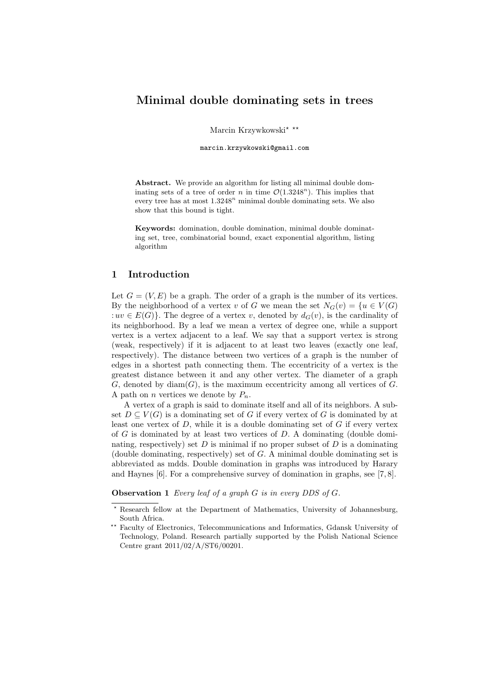# **Minimal double dominating sets in trees**

Marcin Krzywkowski*⋆ ⋆⋆*

marcin.krzywkowski@gmail.com

**Abstract.** We provide an algorithm for listing all minimal double dominating sets of a tree of order *n* in time  $\mathcal{O}(1.3248^n)$ . This implies that every tree has at most 1*.*3248*<sup>n</sup>* minimal double dominating sets. We also show that this bound is tight.

**Keywords:** domination, double domination, minimal double dominating set, tree, combinatorial bound, exact exponential algorithm, listing algorithm

# **1 Introduction**

Let  $G = (V, E)$  be a graph. The order of a graph is the number of its vertices. By the neighborhood of a vertex *v* of *G* we mean the set  $N_G(v) = \{u \in V(G)$ :  $uv \in E(G)$ }. The degree of a vertex *v*, denoted by  $d_G(v)$ , is the cardinality of its neighborhood. By a leaf we mean a vertex of degree one, while a support vertex is a vertex adjacent to a leaf. We say that a support vertex is strong (weak, respectively) if it is adjacent to at least two leaves (exactly one leaf, respectively). The distance between two vertices of a graph is the number of edges in a shortest path connecting them. The eccentricity of a vertex is the greatest distance between it and any other vertex. The diameter of a graph  $G$ , denoted by diam $(G)$ , is the maximum eccentricity among all vertices of  $G$ . A path on *n* vertices we denote by  $P_n$ .

A vertex of a graph is said to dominate itself and all of its neighbors. A subset  $D \subseteq V(G)$  is a dominating set of *G* if every vertex of *G* is dominated by at least one vertex of *D*, while it is a double dominating set of *G* if every vertex of *G* is dominated by at least two vertices of *D*. A dominating (double dominating, respectively) set  $D$  is minimal if no proper subset of  $D$  is a dominating (double dominating, respectively) set of *G*. A minimal double dominating set is abbreviated as mdds. Double domination in graphs was introduced by Harary and Haynes [6]. For a comprehensive survey of domination in graphs, see [7, 8].

**Observation 1** *Every leaf of a graph G is in every DDS of G.*

*<sup>⋆</sup>* Research fellow at the Department of Mathematics, University of Johannesburg, South Africa.

*<sup>⋆⋆</sup>* Faculty of Electronics, Telecommunications and Informatics, Gdansk University of Technology, Poland. Research partially supported by the Polish National Science Centre grant 2011/02/A/ST6/00201.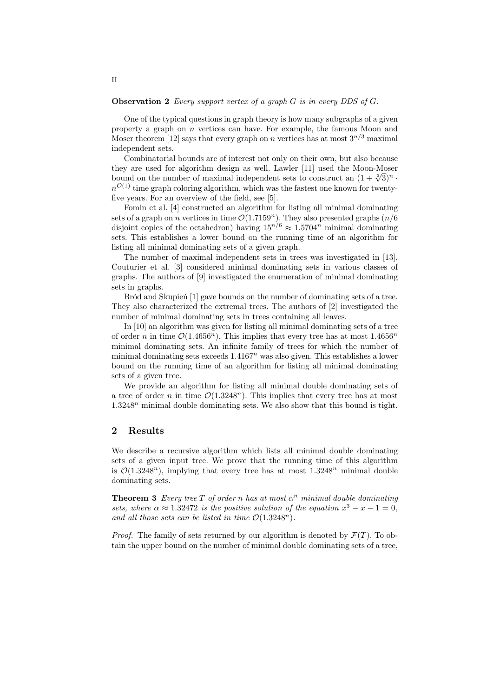#### **Observation 2** *Every support vertex of a graph G is in every DDS of G.*

One of the typical questions in graph theory is how many subgraphs of a given property a graph on *n* vertices can have. For example, the famous Moon and Moser theorem [12] says that every graph on *n* vertices has at most  $3^{n/3}$  maximal independent sets.

Combinatorial bounds are of interest not only on their own, but also because they are used for algorithm design as well. Lawler [11] used the Moon-Moser bound on the number of maximal independent sets to construct an  $(1 + \sqrt[3]{3})^n$  *·*  $n^{\mathcal{O}(1)}$  time graph coloring algorithm, which was the fastest one known for twentyfive years. For an overview of the field, see [5].

Fomin et al. [4] constructed an algorithm for listing all minimal dominating sets of a graph on *n* vertices in time  $\mathcal{O}(1.7159^n)$ . They also presented graphs  $(n/6)$ disjoint copies of the octahedron) having  $15^{n/6} \approx 1.5704^n$  minimal dominating sets. This establishes a lower bound on the running time of an algorithm for listing all minimal dominating sets of a given graph.

The number of maximal independent sets in trees was investigated in [13]. Couturier et al. [3] considered minimal dominating sets in various classes of graphs. The authors of [9] investigated the enumeration of minimal dominating sets in graphs.

Bród and Skupien<sup>[1]</sup> gave bounds on the number of dominating sets of a tree. They also characterized the extremal trees. The authors of [2] investigated the number of minimal dominating sets in trees containing all leaves.

In [10] an algorithm was given for listing all minimal dominating sets of a tree of order *n* in time  $\mathcal{O}(1.4656^n)$ . This implies that every tree has at most  $1.4656^n$ minimal dominating sets. An infinite family of trees for which the number of minimal dominating sets exceeds 1*.*4167*<sup>n</sup>* was also given. This establishes a lower bound on the running time of an algorithm for listing all minimal dominating sets of a given tree.

We provide an algorithm for listing all minimal double dominating sets of a tree of order *n* in time  $\mathcal{O}(1.3248^n)$ . This implies that every tree has at most 1*.*3248*<sup>n</sup>* minimal double dominating sets. We also show that this bound is tight.

## **2 Results**

We describe a recursive algorithm which lists all minimal double dominating sets of a given input tree. We prove that the running time of this algorithm is  $\mathcal{O}(1.3248^n)$ , implying that every tree has at most  $1.3248^n$  minimal double dominating sets.

**Theorem 3** *Every tree*  $T$  *of order*  $n$  *has at most*  $\alpha^n$  *minimal double dominating sets, where*  $\alpha \approx 1.32472$  *is the positive solution of the equation*  $x^3 - x - 1 = 0$ *, and all those sets can be listed in time*  $\mathcal{O}(1.3248^n)$ *.* 

*Proof.* The family of sets returned by our algorithm is denoted by  $\mathcal{F}(T)$ . To obtain the upper bound on the number of minimal double dominating sets of a tree,

### II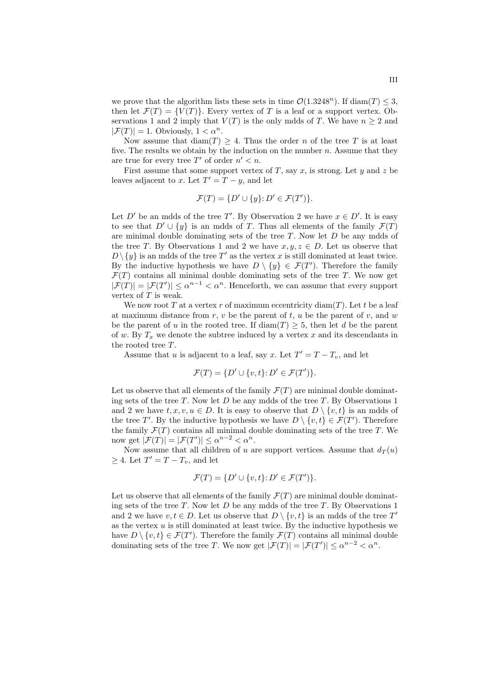we prove that the algorithm lists these sets in time  $\mathcal{O}(1.3248^n)$ . If diam(*T*)  $\leq$  3, then let  $\mathcal{F}(T) = \{V(T)\}\.$  Every vertex of *T* is a leaf or a support vertex. Observations 1 and 2 imply that  $V(T)$  is the only mdds of *T*. We have  $n \geq 2$  and  $|\mathcal{F}(T)| = 1$ . Obviously,  $1 < \alpha^n$ .

Now assume that  $\text{diam}(T) \geq 4$ . Thus the order *n* of the tree *T* is at least five. The results we obtain by the induction on the number  $n$ . Assume that they are true for every tree  $T'$  of order  $n' < n$ .

First assume that some support vertex of *T*, say *x*, is strong. Let *y* and *z* be leaves adjacent to *x*. Let  $T' = T - y$ , and let

$$
\mathcal{F}(T) = \{ D' \cup \{y\} : D' \in \mathcal{F}(T') \}.
$$

Let *D'* be an mdds of the tree *T'*. By Observation 2 we have  $x \in D'$ . It is easy to see that  $D' \cup \{y\}$  is an mdds of *T*. Thus all elements of the family  $\mathcal{F}(T)$ are minimal double dominating sets of the tree *T*. Now let *D* be any mdds of the tree *T*. By Observations 1 and 2 we have  $x, y, z \in D$ . Let us observe that  $D \setminus \{y\}$  is an mdds of the tree T' as the vertex *x* is still dominated at least twice. By the inductive hypothesis we have  $D \setminus \{y\} \in \mathcal{F}(T')$ . Therefore the family  $\mathcal{F}(T)$  contains all minimal double dominating sets of the tree  $T$ . We now get  $|\mathcal{F}(T)| = |\mathcal{F}(T')| \leq \alpha^{n-1} < \alpha^n$ . Henceforth, we can assume that every support vertex of *T* is weak.

We now root *T* at a vertex *r* of maximum eccentricity diam $(T)$ . Let *t* be a leaf at maximum distance from  $r, v$  be the parent of  $t, u$  be the parent of  $v,$  and  $w$ be the parent of *u* in the rooted tree. If  $\text{diam}(T) \geq 5$ , then let *d* be the parent of  $w$ . By  $T_x$  we denote the subtree induced by a vertex  $x$  and its descendants in the rooted tree *T*.

Assume that *u* is adjacent to a leaf, say *x*. Let  $T' = T - T_v$ , and let

$$
\mathcal{F}(T) = \{ D' \cup \{v, t\} : D' \in \mathcal{F}(T') \}.
$$

Let us observe that all elements of the family  $\mathcal{F}(T)$  are minimal double dominating sets of the tree *T*. Now let *D* be any mdds of the tree *T*. By Observations 1 and 2 we have  $t, x, v, u \in D$ . It is easy to observe that  $D \setminus \{v, t\}$  is an mdds of the tree *T'*. By the inductive hypothesis we have  $D \setminus \{v, t\} \in \mathcal{F}(T')$ . Therefore the family  $\mathcal{F}(T)$  contains all minimal double dominating sets of the tree  $T$ . We now get  $|\mathcal{F}(T)| = |\mathcal{F}(T')| \leq \alpha^{n-2} < \alpha^n$ .

Now assume that all children of *u* are support vertices. Assume that  $d_T(u)$  $\geq 4$ . Let  $T' = T - T_v$ , and let

$$
\mathcal{F}(T) = \{ D' \cup \{v, t\} : D' \in \mathcal{F}(T') \}.
$$

Let us observe that all elements of the family  $\mathcal{F}(T)$  are minimal double dominating sets of the tree *T*. Now let *D* be any mdds of the tree *T*. By Observations 1 and 2 we have  $v, t \in D$ . Let us observe that  $D \setminus \{v, t\}$  is an mdds of the tree  $T'$ as the vertex *u* is still dominated at least twice. By the inductive hypothesis we have  $D \setminus \{v, t\} \in \mathcal{F}(T')$ . Therefore the family  $\mathcal{F}(T)$  contains all minimal double dominating sets of the tree *T*. We now get  $|\mathcal{F}(T)| = |\mathcal{F}(T')| \leq \alpha^{n-2} < \alpha^n$ .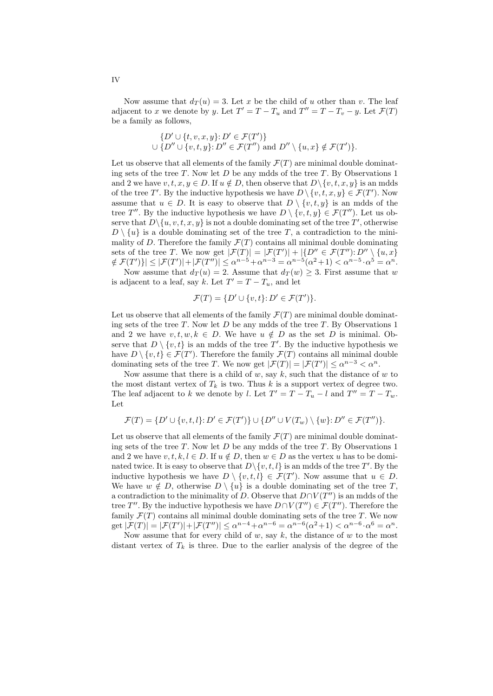Now assume that  $d_T(u) = 3$ . Let *x* be the child of *u* other than *v*. The leaf adjacent to *x* we denote by *y*. Let  $T' = T - T_u$  and  $T'' = T - T_v - y$ . Let  $\mathcal{F}(T)$ be a family as follows,

$$
\{D' \cup \{t, v, x, y\} : D' \in \mathcal{F}(T')\}
$$
  

$$
\cup \{D'' \cup \{v, t, y\} : D'' \in \mathcal{F}(T'')
$$
 and 
$$
D'' \setminus \{u, x\} \notin \mathcal{F}(T')\}.
$$

Let us observe that all elements of the family  $\mathcal{F}(T)$  are minimal double dominating sets of the tree *T*. Now let *D* be any mdds of the tree *T*. By Observations 1 and 2 we have  $v, t, x, y \in D$ . If  $u \notin D$ , then observe that  $D \setminus \{v, t, x, y\}$  is an mdds of the tree *T'*. By the inductive hypothesis we have  $D \setminus \{v, t, x, y\} \in \mathcal{F}(T')$ . Now assume that  $u \in D$ . It is easy to observe that  $D \setminus \{v, t, y\}$  is an mdds of the tree *T*<sup>*′′*</sup>. By the inductive hypothesis we have  $D \setminus \{v, t, y\} \in \mathcal{F}(T'')$ . Let us observe that  $D \setminus \{u, v, t, x, y\}$  is not a double dominating set of the tree  $T'$ , otherwise  $D \setminus \{u\}$  is a double dominating set of the tree *T*, a contradiction to the minimality of *D*. Therefore the family  $\mathcal{F}(T)$  contains all minimal double dominating sets of the tree *T*. We now get  $|\mathcal{F}(T)| = |\mathcal{F}(T')| + |\{D'' \in \mathcal{F}(T'') : D'' \setminus \{u, x\}\}\$  $\{ \notin \mathcal{F}(T') \} \leq |\mathcal{F}(T')| + |\mathcal{F}(T'')| \leq \alpha^{n-5} + \alpha^{n-3} = \alpha^{n-5}(\alpha^2 + 1) < \alpha^{n-5} \cdot \alpha^5 = \alpha^n$ . Now assume that  $d_T(u) = 2$ . Assume that  $d_T(w) \geq 3$ . First assume that *w* 

is adjacent to a leaf, say *k*. Let  $T' = T - T_u$ , and let

$$
\mathcal{F}(T) = \{ D' \cup \{v, t\} : D' \in \mathcal{F}(T') \}.
$$

Let us observe that all elements of the family  $\mathcal{F}(T)$  are minimal double dominating sets of the tree *T*. Now let *D* be any mdds of the tree *T*. By Observations 1 and 2 we have  $v, t, w, k \in D$ . We have  $u \notin D$  as the set *D* is minimal. Observe that  $D \setminus \{v, t\}$  is an mdds of the tree T'. By the inductive hypothesis we have  $D \setminus \{v, t\} \in \mathcal{F}(T')$ . Therefore the family  $\mathcal{F}(T)$  contains all minimal double dominating sets of the tree *T*. We now get  $|\mathcal{F}(T)| = |\mathcal{F}(T')| \leq \alpha^{n-3} < \alpha^n$ .

Now assume that there is a child of *w*, say *k*, such that the distance of *w* to the most distant vertex of  $T_k$  is two. Thus  $k$  is a support vertex of degree two. The leaf adjacent to *k* we denote by *l*. Let  $T' = T - T_u - l$  and  $T'' = T - T_w$ . Let

$$
\mathcal{F}(T) = \{D' \cup \{v, t, l\}: D' \in \mathcal{F}(T')\} \cup \{D'' \cup V(T_w) \setminus \{w\}: D'' \in \mathcal{F}(T'')\}.
$$

Let us observe that all elements of the family  $\mathcal{F}(T)$  are minimal double dominating sets of the tree *T*. Now let *D* be any mdds of the tree *T*. By Observations 1 and 2 we have  $v, t, k, l \in D$ . If  $u \notin D$ , then  $w \in D$  as the vertex *u* has to be dominated twice. It is easy to observe that  $D \setminus \{v, t, l\}$  is an mdds of the tree  $T'$ . By the inductive hypothesis we have  $D \setminus \{v, t, l\} \in \mathcal{F}(T')$ . Now assume that  $u \in D$ . We have  $w \notin D$ , otherwise  $D \setminus \{u\}$  is a double dominating set of the tree *T*, a contradiction to the minimality of *D*. Observe that *D∩V* (*T ′′*) is an mdds of the tree *T*". By the inductive hypothesis we have  $D \cap V(T'') \in \mathcal{F}(T'')$ . Therefore the family  $\mathcal{F}(T)$  contains all minimal double dominating sets of the tree  $T$ . We now get  $|\mathcal{F}(T)| = |\mathcal{F}(T')| + |\mathcal{F}(T'')| \leq \alpha^{n-4} + \alpha^{n-6} = \alpha^{n-6}(\alpha^2 + 1) < \alpha^{n-6} \cdot \alpha^6 = \alpha^n$ .

Now assume that for every child of *w*, say *k*, the distance of *w* to the most distant vertex of  $T_k$  is three. Due to the earlier analysis of the degree of the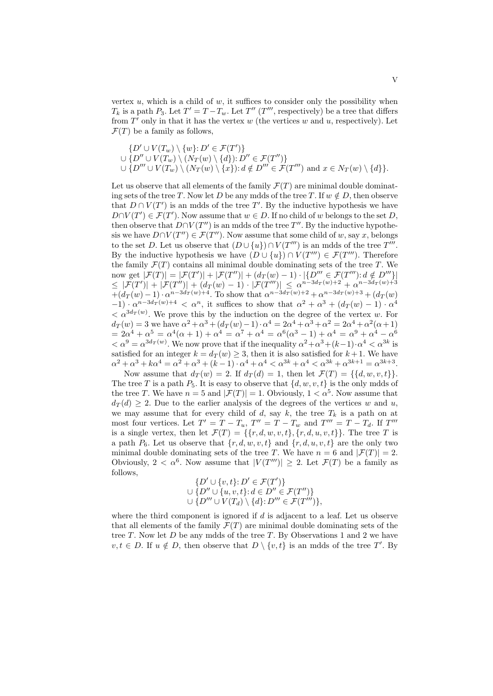vertex  $u$ , which is a child of  $w$ , it suffices to consider only the possibility when  $T_k$  is a path  $P_3$ . Let  $T' = T - T_w$ . Let  $T''$  ( $T'''$ , respectively) be a tree that differs from *T ′* only in that it has the vertex *w* (the vertices *w* and *u*, respectively). Let  $\mathcal{F}(T)$  be a family as follows,

$$
\{D' \cup V(T_w) \setminus \{w\} : D' \in \mathcal{F}(T')\}
$$
  

$$
\cup \{D'' \cup V(T_w) \setminus (N_T(w) \setminus \{d\}) : D'' \in \mathcal{F}(T'')\}
$$
  

$$
\cup \{D''' \cup V(T_w) \setminus (N_T(w) \setminus \{x\}) : d \notin D''' \in \mathcal{F}(T''') \text{ and } x \in N_T(w) \setminus \{d\} \}.
$$

Let us observe that all elements of the family  $\mathcal{F}(T)$  are minimal double dominating sets of the tree *T*. Now let *D* be any mdds of the tree *T*. If  $w \notin D$ , then observe that  $D \cap V(T')$  is an mdds of the tree T'. By the inductive hypothesis we have  $D \cap V(T') \in \mathcal{F}(T')$ . Now assume that  $w \in D$ . If no child of *w* belongs to the set *D*, then observe that  $D \cap V(T'')$  is an mdds of the tree  $T''$ . By the inductive hypothesis we have  $D \cap V(T'') \in \mathcal{F}(T'')$ . Now assume that some child of *w*, say *x*, belongs to the set *D*. Let us observe that  $(D \cup \{u\}) \cap V(T''')$  is an mdds of the tree  $T'''$ . By the inductive hypothesis we have  $(D \cup \{u\}) \cap V(T''') \in \mathcal{F}(T''')$ . Therefore the family  $\mathcal{F}(T)$  contains all minimal double dominating sets of the tree  $T$ . We now get  $|\mathcal{F}(T)| = |\mathcal{F}(T')| + |\mathcal{F}(T'')| + (d_T(w) - 1) \cdot |\{D''' \in \mathcal{F}(T''') : d \notin D''' \}|$  $\leq |\mathcal{F}(T')| + |\mathcal{F}(T'')| + (d_T(w) - 1) \cdot |\mathcal{F}(T''')| \leq \alpha^{n-3d_T(w)+2} + \alpha^{n-3d_T(w)+3}$  $+(d_T(w)-1) \cdot \alpha^{n-3d_T(w)+4}$ . To show that  $\alpha^{n-3d_T(w)+2} + \alpha^{n-3d_T(w)+3} + (d_T(w))$  $-1) \cdot \alpha^{n-3d}$ <sup>T</sup> $(w)$ +4  $\lt \alpha^n$ , it suffices to show that  $\alpha^2 + \alpha^3 + (d_T(w) - 1) \cdot \alpha^4$  $\langle \alpha^{3d}T^{(w)} \rangle$ . We prove this by the induction on the degree of the vertex *w*. For  $d_T(w) = 3$  we have  $\alpha^2 + \alpha^3 + (d_T(w) - 1) \cdot \alpha^4 = 2\alpha^4 + \alpha^3 + \alpha^2 = 2\alpha^4 + \alpha^2(\alpha + 1)$  $= 2\alpha^4 + \alpha^5 = \alpha^4(\alpha + 1) + \alpha^4 = \alpha^7 + \alpha^4 = \alpha^6(\alpha^3 - 1) + \alpha^4 = \alpha^9 + \alpha^4 - \alpha^6$  $\langle \alpha^9 \rangle = \alpha^{3d} \tau^{(w)}$ . We now prove that if the inequality  $\alpha^2 + \alpha^3 + (k-1) \cdot \alpha^4 \leq \alpha^{3k}$  is satisfied for an integer  $k = d_T(w) \geq 3$ , then it is also satisfied for  $k + 1$ . We have  $\alpha^2 + \alpha^3 + k\alpha^4 = \alpha^2 + \alpha^3 + (k-1) \cdot \alpha^4 + \alpha^4 < \alpha^{3k} + \alpha^4 < \alpha^{3k} + \alpha^{3k+1} = \alpha^{3k+3}$ .

Now assume that  $d_T(w) = 2$ . If  $d_T(d) = 1$ , then let  $\mathcal{F}(T) = \{\{d, w, v, t\}\}.$ The tree *T* is a path  $P_5$ . It is easy to observe that  $\{d, w, v, t\}$  is the only mdds of the tree *T*. We have  $n = 5$  and  $|\mathcal{F}(T)| = 1$ . Obviously,  $1 < \alpha^5$ . Now assume that  $d_T(d) \geq 2$ . Due to the earlier analysis of the degrees of the vertices *w* and *u*, we may assume that for every child of  $d$ , say  $k$ , the tree  $T_k$  is a path on at most four vertices. Let  $T' = T - T_u$ ,  $T'' = T - T_w$  and  $T''' = T - T_d$ . If  $T'''$ is a single vertex, then let  $\mathcal{F}(T) = \{\{r, d, w, v, t\}, \{r, d, u, v, t\}\}\.$  The tree *T* is a path  $P_6$ . Let us observe that  $\{r, d, w, v, t\}$  and  $\{r, d, u, v, t\}$  are the only two minimal double dominating sets of the tree *T*. We have  $n = 6$  and  $|\mathcal{F}(T)| = 2$ . Obviously,  $2 < \alpha^6$ . Now assume that  $|V(T''')| \geq 2$ . Let  $\mathcal{F}(T)$  be a family as follows,

$$
\{D' \cup \{v,t\}: D' \in \mathcal{F}(T')\}
$$
  

$$
\cup \{D'' \cup \{u,v,t\}: d \in D'' \in \mathcal{F}(T'')\}
$$
  

$$
\cup \{D''' \cup V(T_d) \setminus \{d\}: D''' \in \mathcal{F}(T''')\},
$$

where the third component is ignored if *d* is adjacent to a leaf. Let us observe that all elements of the family  $\mathcal{F}(T)$  are minimal double dominating sets of the tree *T*. Now let *D* be any mdds of the tree *T*. By Observations 1 and 2 we have  $v, t \in D$ . If  $u \notin D$ , then observe that  $D \setminus \{v, t\}$  is an mdds of the tree *T'*. By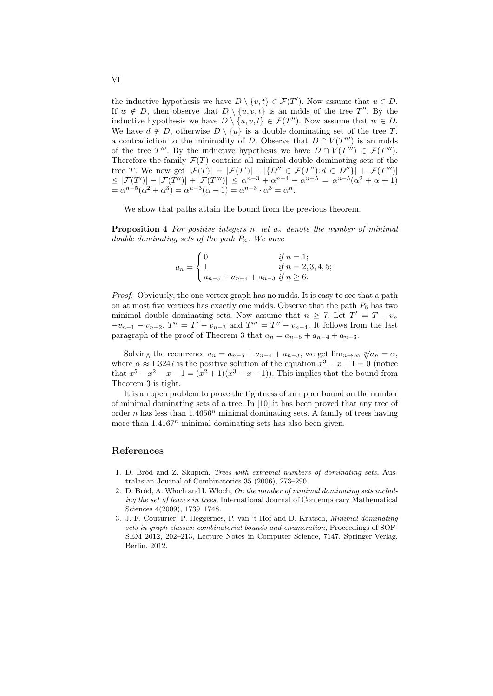the inductive hypothesis we have  $D \setminus \{v, t\} \in \mathcal{F}(T')$ . Now assume that  $u \in D$ . If  $w \notin D$ , then observe that  $D \setminus \{u, v, t\}$  is an mdds of the tree  $T''$ . By the inductive hypothesis we have  $D \setminus \{u, v, t\} \in \mathcal{F}(T'')$ . Now assume that  $w \in D$ . We have  $d \notin D$ , otherwise  $D \setminus \{u\}$  is a double dominating set of the tree *T*, a contradiction to the minimality of *D*. Observe that  $D \cap V(T''')$  is an mdds of the tree  $T'''$ . By the inductive hypothesis we have  $D \cap V(T''') \in \mathcal{F}(T''')$ . Therefore the family  $\mathcal{F}(T)$  contains all minimal double dominating sets of the tree T. We now get  $|\mathcal{F}(T)| = |\mathcal{F}(T')| + |\{D'' \in \mathcal{F}(T'') : d \in D''\}| + |\mathcal{F}(T''')|$  $\leq |\mathcal{F}(T')| + |\mathcal{F}(T'')| + |\mathcal{F}(T''')| \leq \alpha^{n-3} + \alpha^{n-4} + \alpha^{n-5} = \alpha^{n-5}(\alpha^2 + \alpha + 1)$  $= \alpha^{n-5}(\alpha^2 + \alpha^3) = \alpha^{n-3}(\alpha + 1) = \alpha^{n-3} \cdot \alpha^3 = \alpha^n$ .

We show that paths attain the bound from the previous theorem.

**Proposition 4** *For positive integers n, let a<sup>n</sup> denote the number of minimal double dominating sets of the path Pn. We have*

$$
a_n = \begin{cases} 0 & \text{if } n = 1; \\ 1 & \text{if } n = 2, 3, 4, 5; \\ a_{n-5} + a_{n-4} + a_{n-3} & \text{if } n \ge 6. \end{cases}
$$

*Proof.* Obviously, the one-vertex graph has no mdds. It is easy to see that a path on at most five vertices has exactly one mdds. Observe that the path  $P_6$  has two minimal double dominating sets. Now assume that  $n \geq 7$ . Let  $T' = T - v_n$  $-v_{n-1}-v_{n-2}$ ,  $T''=T'-v_{n-3}$  and  $T'''=T''-v_{n-4}$ . It follows from the last paragraph of the proof of Theorem 3 that  $a_n = a_{n-5} + a_{n-4} + a_{n-3}$ .

Solving the recurrence  $a_n = a_{n-5} + a_{n-4} + a_{n-3}$ , we get  $\lim_{n \to \infty} \sqrt[n]{a_n} = \alpha$ , where  $\alpha \approx 1.3247$  is the positive solution of the equation  $x^3 - x - 1 = 0$  (notice that  $x^5 - x^2 - x - 1 = (x^2 + 1)(x^3 - x - 1)$ . This implies that the bound from Theorem 3 is tight.

It is an open problem to prove the tightness of an upper bound on the number of minimal dominating sets of a tree. In [10] it has been proved that any tree of order *n* has less than  $1.4656^n$  minimal dominating sets. A family of trees having more than  $1.4167<sup>n</sup>$  minimal dominating sets has also been given.

## **References**

- 1. D. Br´od and Z. Skupie´n, *Trees with extremal numbers of dominating sets,* Australasian Journal of Combinatorics 35 (2006), 273–290.
- 2. D. Bród, A. Włoch and I. Włoch, *On the number of minimal dominating sets including the set of leaves in trees,* International Journal of Contemporary Mathematical Sciences 4(2009), 1739–1748.
- 3. J.-F. Couturier, P. Heggernes, P. van 't Hof and D. Kratsch, *Minimal dominating sets in graph classes: combinatorial bounds and enumeration,* Proceedings of SOF-SEM 2012, 202–213, Lecture Notes in Computer Science, 7147, Springer-Verlag, Berlin, 2012.